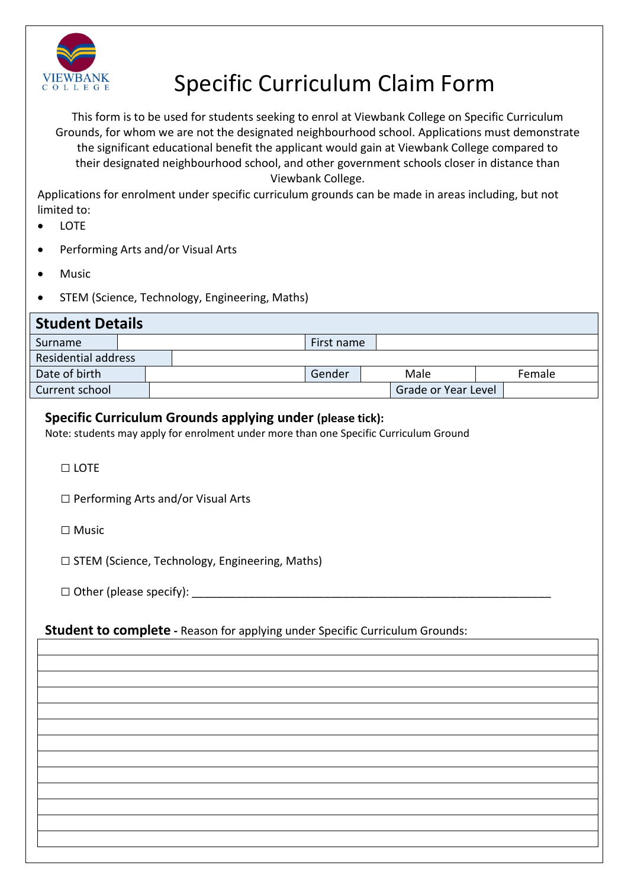

## VIEWBANK Specific Curriculum Claim Form

This form is to be used for students seeking to enrol at Viewbank College on Specific Curriculum Grounds, for whom we are not the designated neighbourhood school. Applications must demonstrate the significant educational benefit the applicant would gain at Viewbank College compared to their designated neighbourhood school, and other government schools closer in distance than Viewbank College.

Applications for enrolment under specific curriculum grounds can be made in areas including, but not limited to:

- **LOTE**
- Performing Arts and/or Visual Arts
- Music
- STEM (Science, Technology, Engineering, Maths)

| <b>Student Details</b>     |  |  |        |                     |        |  |  |
|----------------------------|--|--|--------|---------------------|--------|--|--|
| Surname                    |  |  |        | First name          |        |  |  |
| <b>Residential address</b> |  |  |        |                     |        |  |  |
| Date of birth              |  |  | Gender | Male                | Female |  |  |
| Current school             |  |  |        | Grade or Year Level |        |  |  |

## **Specific Curriculum Grounds applying under (please tick):**

Note: students may apply for enrolment under more than one Specific Curriculum Ground

□ LOTE

- □ Performing Arts and/or Visual Arts
- □ Music

□ STEM (Science, Technology, Engineering, Maths)

 $\square$  Other (please specify):

## **Student to complete -** Reason for applying under Specific Curriculum Grounds: